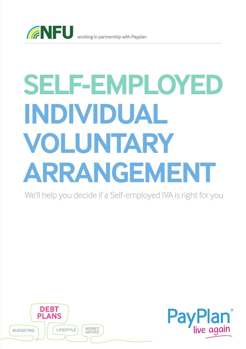

# **SELF-EMPLOYED INDIVIDUAL VOLUNTARY ARRANGEMENT**

We'll help you decide if a Self-employed IVA is right for you



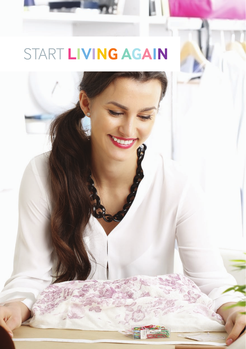## START **LIVING AGAIN**

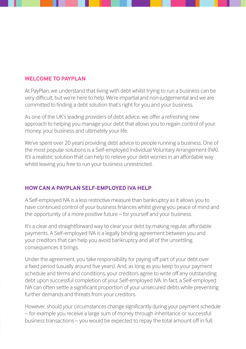#### **WELCOME TO PAYPLAN**

At PayPlan, we understand that living with debt whilst trying to run a business can be very difficult, but we're here to help. We're impartial and non-judgemental and we are committed to finding a debt solution that's right for you and your business.

As one of the UK's leading providers of debt advice, we offer a refreshing new approach to helping you manage your debt that allows you to regain control of your money, your business and ultimately your life.

We've spent over 20 years providing debt advice to people running a business. One of the most popular solutions is a Self-employed Individual Voluntary Arrangement (IVA). It's a realistic solution that can help to relieve your debt worries in an affordable way whilst leaving you free to run your business unrestricted.

### **HOW CAN A PAYPLAN SELF-EMPLOYED IVA HELP**

A Self-employed IVA is a less restrictive measure than bankruptcy as it allows you to have continued control of your business finances whilst giving you peace of mind and the opportunity of a more positive future – for yourself and your business.

It's a clear and straightforward way to clear your debt by making regular, affordable payments. A Self-employed IVA is a legally binding agreement between you and your creditors that can help you avoid bankruptcy and all of the unsettling consequences it brings.

Under the agreement, you take responsibility for paying off part of your debt over a fixed period (usually around five years). And, as long as you keep to your payment schedule and terms and conditions, your creditors agree to write off any outstanding debt upon successful completion of your Self-employed IVA. In fact, a Self-employed IVA can often settle a significant proportion of your unsecured debts while preventing further demands and threats from your creditors.

However, should your circumstances change significantly during your payment schedule – for example you receive a large sum of money through inheritance or successful business transactions – you would be expected to repay the total amount off in full.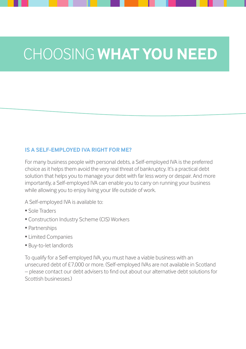### CHOOSING **WHAT YOU NEED**

#### **IS A SELF-EMPLOYED IVA RIGHT FOR ME?**

For many business people with personal debts, a Self-employed IVA is the preferred choice as it helps them avoid the very real threat of bankruptcy. It's a practical debt solution that helps you to manage your debt with far less worry or despair. And more importantly, a Self-employed IVA can enable you to carry on running your business while allowing you to enjoy living your life outside of work.

A Self-employed IVA is available to:

- Sole Traders
- Construction Industry Scheme (CIS) Workers
- Partnerships
- Limited Companies
- Buy-to-let landlords

To qualify for a Self-employed IVA, you must have a viable business with an unsecured debt of £7,000 or more. (Self-employed IVAs are not available in Scotland – please contact our debt advisers to find out about our alternative debt solutions for Scottish businesses.)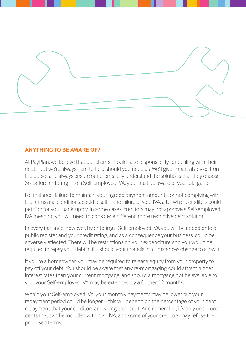

### **ANYTHING TO BE AWARE OF?**

At PayPlan, we believe that our clients should take responsibility for dealing with their debts, but we're always here to help should you need us. We'll give impartial advice from the outset and always ensure our clients fully understand the solutions that they choose. So, before entering into a Self-employed IVA, you must be aware of your obligations.

For instance, failure to maintain your agreed payment amounts, or not complying with the terms and conditions, could result in the failure of your IVA, after which, creditors could petition for your bankruptcy. In some cases, creditors may not approve a Self-employed IVA meaning you will need to consider a different, more restrictive debt solution.

In every instance, however, by entering a Self-employed IVA you will be added onto a public register and your credit rating, and as a consequence your business, could be adversely affected. There will be restrictions on your expenditure and you would be required to repay your debt in full should your financial circumstances change to allow it.

If you're a homeowner, you may be required to release equity from your property to pay off your debt. You should be aware that any re-mortgaging could attract higher interest rates than your current mortgage, and should a mortgage not be available to you, your Self-employed IVA may be extended by a further 12 months.

Within your Self-employed IVA, your monthly payments may be lower but your repayment period could be longer – this will depend on the percentage of your debt repayment that your creditors are willing to accept. And remember, it's only unsecured debts that can be included within an IVA, and some of your creditors may refuse the proposed terms.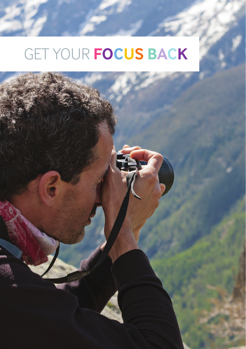# GET YOUR **FOCUS BACK**

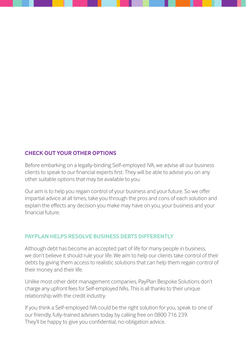#### **CHECK OUT YOUR OTHER OPTIONS**

Before embarking on a legally-binding Self-employed IVA, we advise all our business clients to speak to our financial experts first. They will be able to advise you on any other suitable options that may be available to you.

Our aim is to help you regain control of your business and your future. So we offer impartial advice at all times, take you through the pros and cons of each solution and explain the effects any decision you make may have on you, your business and your financial future.

#### **PAYPLAN HELPS RESOLVE BUSINESS DEBTS DIFFERENTLY**

Although debt has become an accepted part of life for many people in business, we don't believe it should rule your life. We aim to help our clients take control of their debts by giving them access to realistic solutions that can help them regain control of their money and their life.

Unlike most other debt management companies, PayPlan Bespoke Solutions don't charge any upfront fees for Self-employed IVAs. This is all thanks to their unique relationship with the credit industry.

If you think a Self-employed IVA could be the right solution for you, speak to one of our friendly, fully-trained advisers today by calling free on 0800 716 239. They'll be happy to give you confidential, no-obligation advice.